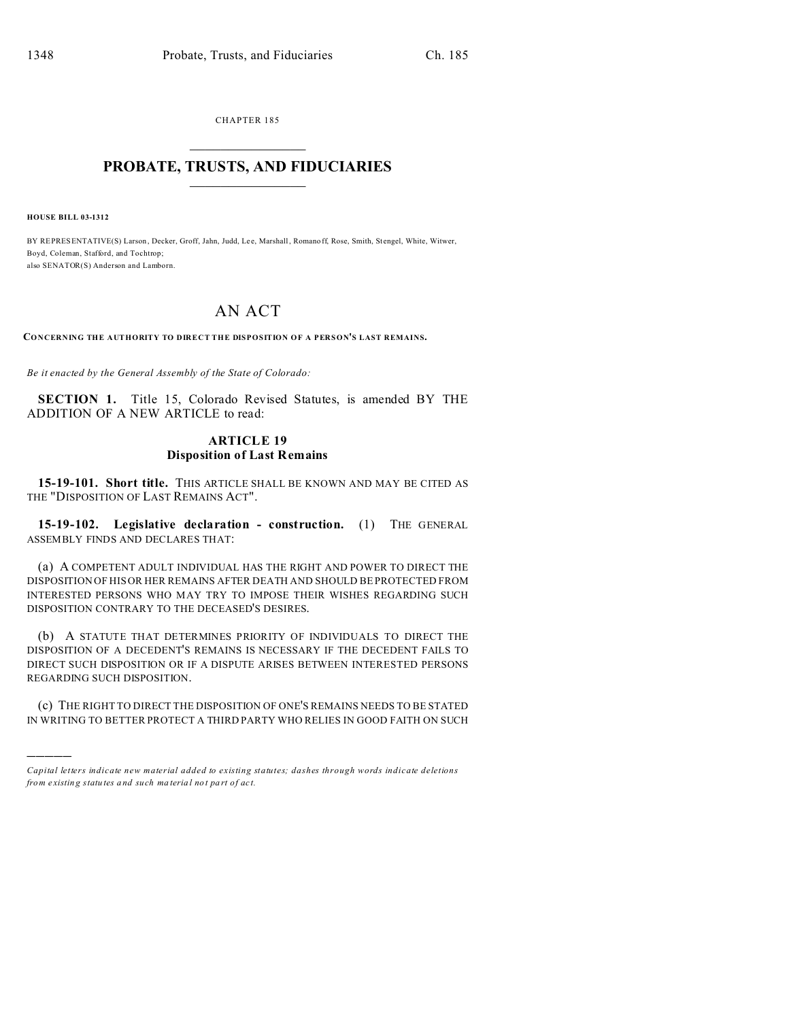CHAPTER 185  $\overline{\phantom{a}}$  , where  $\overline{\phantom{a}}$ 

#### **PROBATE, TRUSTS, AND FIDUCIARIES**  $\overline{\phantom{a}}$

**HOUSE BILL 03-1312**

)))))

BY REPRESENTATIVE(S) Larson, Decker, Groff, Jahn, Judd, Lee, Marshall, Romano ff, Rose, Smith, Stengel, White, Witwer, Boyd, Coleman, Stafford, and Tochtrop; also SENATOR(S) Anderson and Lamborn.

# AN ACT

**CONCERNING THE AUTHORITY TO DIRECT THE DISPOSITION OF A PERSON'S LAST REMAINS.**

*Be it enacted by the General Assembly of the State of Colorado:*

**SECTION 1.** Title 15, Colorado Revised Statutes, is amended BY THE ADDITION OF A NEW ARTICLE to read:

### **ARTICLE 19 Disposition of Last Remains**

**15-19-101. Short title.** THIS ARTICLE SHALL BE KNOWN AND MAY BE CITED AS THE "DISPOSITION OF LAST REMAINS ACT".

**15-19-102. Legislative declaration - construction.** (1) THE GENERAL ASSEMBLY FINDS AND DECLARES THAT:

(a) A COMPETENT ADULT INDIVIDUAL HAS THE RIGHT AND POWER TO DIRECT THE DISPOSITION OF HIS OR HER REMAINS AFTER DEATH AND SHOULD BE PROTECTED FROM INTERESTED PERSONS WHO MAY TRY TO IMPOSE THEIR WISHES REGARDING SUCH DISPOSITION CONTRARY TO THE DECEASED'S DESIRES.

(b) A STATUTE THAT DETERMINES PRIORITY OF INDIVIDUALS TO DIRECT THE DISPOSITION OF A DECEDENT'S REMAINS IS NECESSARY IF THE DECEDENT FAILS TO DIRECT SUCH DISPOSITION OR IF A DISPUTE ARISES BETWEEN INTERESTED PERSONS REGARDING SUCH DISPOSITION.

(c) THE RIGHT TO DIRECT THE DISPOSITION OF ONE'S REMAINS NEEDS TO BE STATED IN WRITING TO BETTER PROTECT A THIRD PARTY WHO RELIES IN GOOD FAITH ON SUCH

*Capital letters indicate new material added to existing statutes; dashes through words indicate deletions from e xistin g statu tes a nd such ma teria l no t pa rt of ac t.*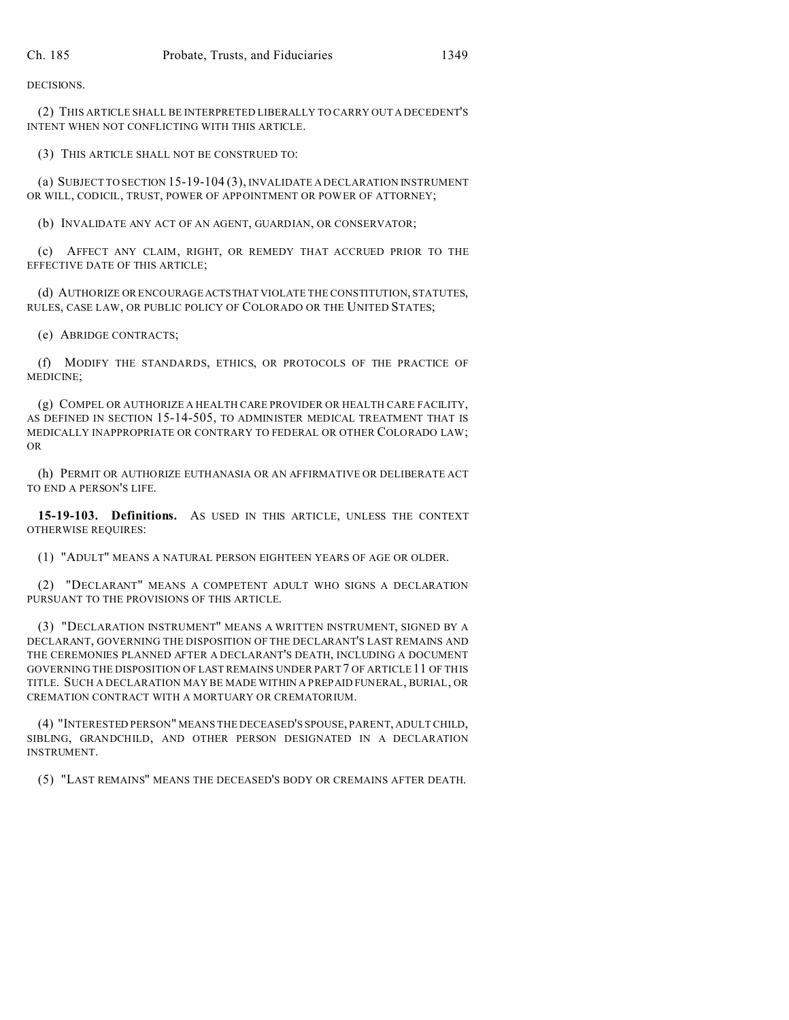DECISIONS.

(2) THIS ARTICLE SHALL BE INTERPRETED LIBERALLY TO CARRY OUT A DECEDENT'S INTENT WHEN NOT CONFLICTING WITH THIS ARTICLE.

(3) THIS ARTICLE SHALL NOT BE CONSTRUED TO:

(a) SUBJECT TO SECTION 15-19-104 (3), INVALIDATE A DECLARATION INSTRUMENT OR WILL, CODICIL, TRUST, POWER OF APPOINTMENT OR POWER OF ATTORNEY;

(b) INVALIDATE ANY ACT OF AN AGENT, GUARDIAN, OR CONSERVATOR;

(c) AFFECT ANY CLAIM, RIGHT, OR REMEDY THAT ACCRUED PRIOR TO THE EFFECTIVE DATE OF THIS ARTICLE;

(d) AUTHORIZE OR ENCOURAGEACTSTHAT VIOLATE THE CONSTITUTION, STATUTES, RULES, CASE LAW, OR PUBLIC POLICY OF COLORADO OR THE UNITED STATES;

(e) ABRIDGE CONTRACTS;

(f) MODIFY THE STANDARDS, ETHICS, OR PROTOCOLS OF THE PRACTICE OF MEDICINE;

(g) COMPEL OR AUTHORIZE A HEALTH CARE PROVIDER OR HEALTH CARE FACILITY, AS DEFINED IN SECTION 15-14-505, TO ADMINISTER MEDICAL TREATMENT THAT IS MEDICALLY INAPPROPRIATE OR CONTRARY TO FEDERAL OR OTHER COLORADO LAW; OR

(h) PERMIT OR AUTHORIZE EUTHANASIA OR AN AFFIRMATIVE OR DELIBERATE ACT TO END A PERSON'S LIFE.

**15-19-103. Definitions.** AS USED IN THIS ARTICLE, UNLESS THE CONTEXT OTHERWISE REQUIRES:

(1) "ADULT" MEANS A NATURAL PERSON EIGHTEEN YEARS OF AGE OR OLDER.

(2) "DECLARANT" MEANS A COMPETENT ADULT WHO SIGNS A DECLARATION PURSUANT TO THE PROVISIONS OF THIS ARTICLE.

(3) "DECLARATION INSTRUMENT" MEANS A WRITTEN INSTRUMENT, SIGNED BY A DECLARANT, GOVERNING THE DISPOSITION OF THE DECLARANT'S LAST REMAINS AND THE CEREMONIES PLANNED AFTER A DECLARANT'S DEATH, INCLUDING A DOCUMENT GOVERNING THE DISPOSITION OF LAST REMAINS UNDER PART 7 OF ARTICLE 11 OF THIS TITLE. SUCH A DECLARATION MAY BE MADE WITHIN A PREPAID FUNERAL, BURIAL, OR CREMATION CONTRACT WITH A MORTUARY OR CREMATORIUM.

(4) "INTERESTED PERSON" MEANS THE DECEASED'S SPOUSE, PARENT, ADULT CHILD, SIBLING, GRANDCHILD, AND OTHER PERSON DESIGNATED IN A DECLARATION INSTRUMENT.

(5) "LAST REMAINS" MEANS THE DECEASED'S BODY OR CREMAINS AFTER DEATH.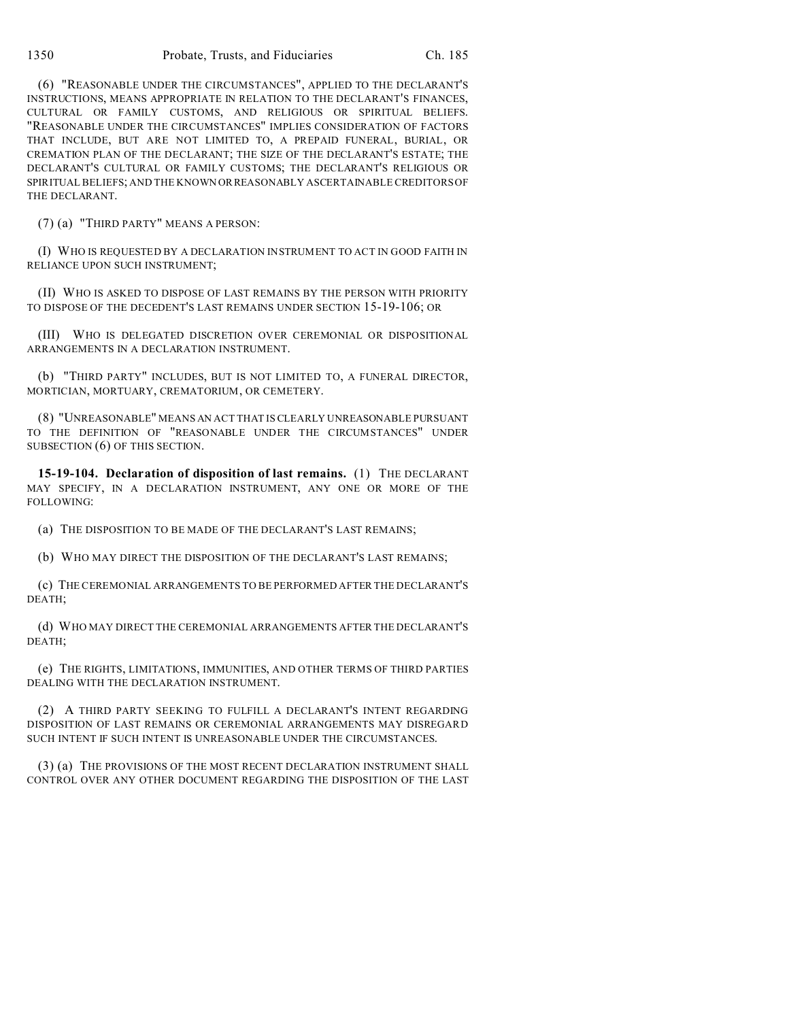(6) "REASONABLE UNDER THE CIRCUMSTANCES", APPLIED TO THE DECLARANT'S INSTRUCTIONS, MEANS APPROPRIATE IN RELATION TO THE DECLARANT'S FINANCES, CULTURAL OR FAMILY CUSTOMS, AND RELIGIOUS OR SPIRITUAL BELIEFS. "REASONABLE UNDER THE CIRCUMSTANCES" IMPLIES CONSIDERATION OF FACTORS THAT INCLUDE, BUT ARE NOT LIMITED TO, A PREPAID FUNERAL, BURIAL, OR CREMATION PLAN OF THE DECLARANT; THE SIZE OF THE DECLARANT'S ESTATE; THE DECLARANT'S CULTURAL OR FAMILY CUSTOMS; THE DECLARANT'S RELIGIOUS OR SPIRITUAL BELIEFS; AND THE KNOWN ORREASONABLY ASCERTAINABLE CREDITORS OF THE DECLARANT.

(7) (a) "THIRD PARTY" MEANS A PERSON:

(I) WHO IS REQUESTED BY A DECLARATION INSTRUMENT TO ACT IN GOOD FAITH IN RELIANCE UPON SUCH INSTRUMENT;

(II) WHO IS ASKED TO DISPOSE OF LAST REMAINS BY THE PERSON WITH PRIORITY TO DISPOSE OF THE DECEDENT'S LAST REMAINS UNDER SECTION 15-19-106; OR

(III) WHO IS DELEGATED DISCRETION OVER CEREMONIAL OR DISPOSITIONAL ARRANGEMENTS IN A DECLARATION INSTRUMENT.

(b) "THIRD PARTY" INCLUDES, BUT IS NOT LIMITED TO, A FUNERAL DIRECTOR, MORTICIAN, MORTUARY, CREMATORIUM, OR CEMETERY.

(8) "UNREASONABLE" MEANS AN ACT THAT IS CLEARLY UNREASONABLE PURSUANT TO THE DEFINITION OF "REASONABLE UNDER THE CIRCUMSTANCES" UNDER SUBSECTION (6) OF THIS SECTION.

**15-19-104. Declaration of disposition of last remains.** (1) THE DECLARANT MAY SPECIFY, IN A DECLARATION INSTRUMENT, ANY ONE OR MORE OF THE FOLLOWING:

(a) THE DISPOSITION TO BE MADE OF THE DECLARANT'S LAST REMAINS;

(b) WHO MAY DIRECT THE DISPOSITION OF THE DECLARANT'S LAST REMAINS;

(c) THE CEREMONIAL ARRANGEMENTS TO BE PERFORMED AFTER THE DECLARANT'S DEATH;

(d) WHO MAY DIRECT THE CEREMONIAL ARRANGEMENTS AFTER THE DECLARANT'S DEATH;

(e) THE RIGHTS, LIMITATIONS, IMMUNITIES, AND OTHER TERMS OF THIRD PARTIES DEALING WITH THE DECLARATION INSTRUMENT.

(2) A THIRD PARTY SEEKING TO FULFILL A DECLARANT'S INTENT REGARDING DISPOSITION OF LAST REMAINS OR CEREMONIAL ARRANGEMENTS MAY DISREGARD SUCH INTENT IF SUCH INTENT IS UNREASONABLE UNDER THE CIRCUMSTANCES.

(3) (a) THE PROVISIONS OF THE MOST RECENT DECLARATION INSTRUMENT SHALL CONTROL OVER ANY OTHER DOCUMENT REGARDING THE DISPOSITION OF THE LAST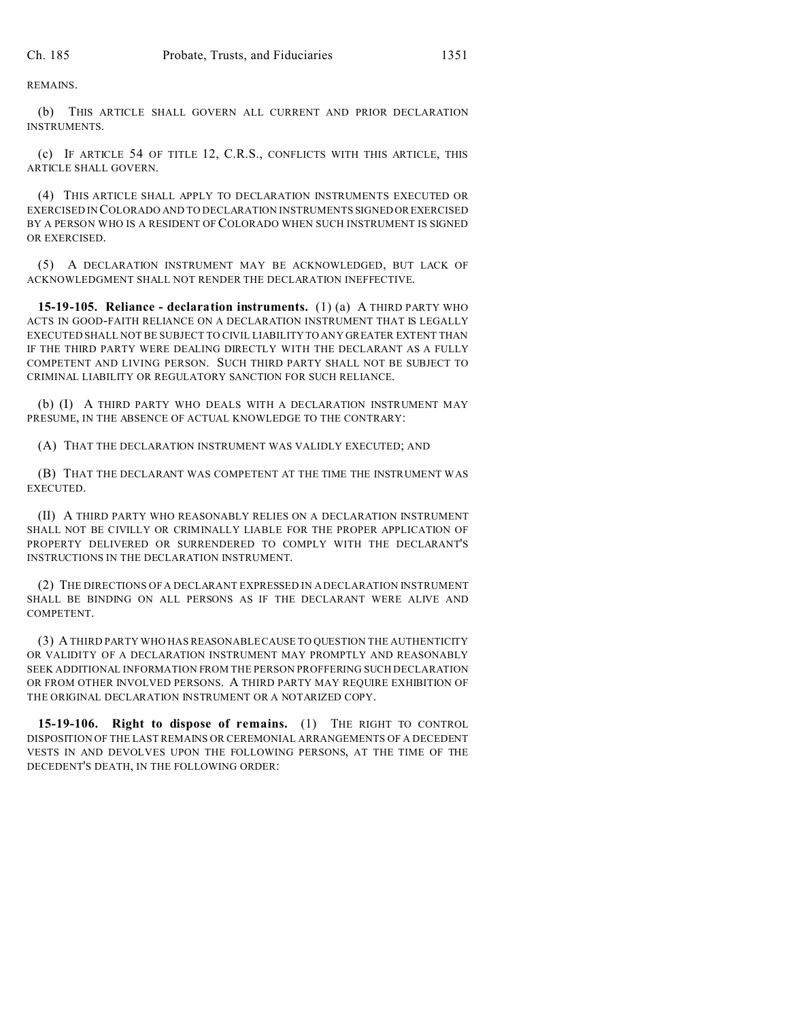REMAINS.

(b) THIS ARTICLE SHALL GOVERN ALL CURRENT AND PRIOR DECLARATION INSTRUMENTS.

(c) IF ARTICLE 54 OF TITLE 12, C.R.S., CONFLICTS WITH THIS ARTICLE, THIS ARTICLE SHALL GOVERN.

(4) THIS ARTICLE SHALL APPLY TO DECLARATION INSTRUMENTS EXECUTED OR EXERCISED IN COLORADO AND TO DECLARATION INSTRUMENTS SIGNED OREXERCISED BY A PERSON WHO IS A RESIDENT OF COLORADO WHEN SUCH INSTRUMENT IS SIGNED OR EXERCISED.

(5) A DECLARATION INSTRUMENT MAY BE ACKNOWLEDGED, BUT LACK OF ACKNOWLEDGMENT SHALL NOT RENDER THE DECLARATION INEFFECTIVE.

**15-19-105. Reliance - declaration instruments.** (1) (a) A THIRD PARTY WHO ACTS IN GOOD-FAITH RELIANCE ON A DECLARATION INSTRUMENT THAT IS LEGALLY EXECUTED SHALL NOT BE SUBJECT TO CIVIL LIABILITY TO ANY GREATER EXTENT THAN IF THE THIRD PARTY WERE DEALING DIRECTLY WITH THE DECLARANT AS A FULLY COMPETENT AND LIVING PERSON. SUCH THIRD PARTY SHALL NOT BE SUBJECT TO CRIMINAL LIABILITY OR REGULATORY SANCTION FOR SUCH RELIANCE.

(b) (I) A THIRD PARTY WHO DEALS WITH A DECLARATION INSTRUMENT MAY PRESUME, IN THE ABSENCE OF ACTUAL KNOWLEDGE TO THE CONTRARY:

(A) THAT THE DECLARATION INSTRUMENT WAS VALIDLY EXECUTED; AND

(B) THAT THE DECLARANT WAS COMPETENT AT THE TIME THE INSTRUMENT WAS EXECUTED.

(II) A THIRD PARTY WHO REASONABLY RELIES ON A DECLARATION INSTRUMENT SHALL NOT BE CIVILLY OR CRIMINALLY LIABLE FOR THE PROPER APPLICATION OF PROPERTY DELIVERED OR SURRENDERED TO COMPLY WITH THE DECLARANT'S INSTRUCTIONS IN THE DECLARATION INSTRUMENT.

(2) THE DIRECTIONS OF A DECLARANT EXPRESSED IN A DECLARATION INSTRUMENT SHALL BE BINDING ON ALL PERSONS AS IF THE DECLARANT WERE ALIVE AND COMPETENT.

(3) A THIRD PARTY WHO HAS REASONABLE CAUSE TO QUESTION THE AUTHENTICITY OR VALIDITY OF A DECLARATION INSTRUMENT MAY PROMPTLY AND REASONABLY SEEK ADDITIONAL INFORMATION FROM THE PERSON PROFFERING SUCH DECLARATION OR FROM OTHER INVOLVED PERSONS. A THIRD PARTY MAY REQUIRE EXHIBITION OF THE ORIGINAL DECLARATION INSTRUMENT OR A NOTARIZED COPY.

**15-19-106. Right to dispose of remains.** (1) THE RIGHT TO CONTROL DISPOSITION OF THE LAST REMAINS OR CEREMONIAL ARRANGEMENTS OF A DECEDENT VESTS IN AND DEVOLVES UPON THE FOLLOWING PERSONS, AT THE TIME OF THE DECEDENT'S DEATH, IN THE FOLLOWING ORDER: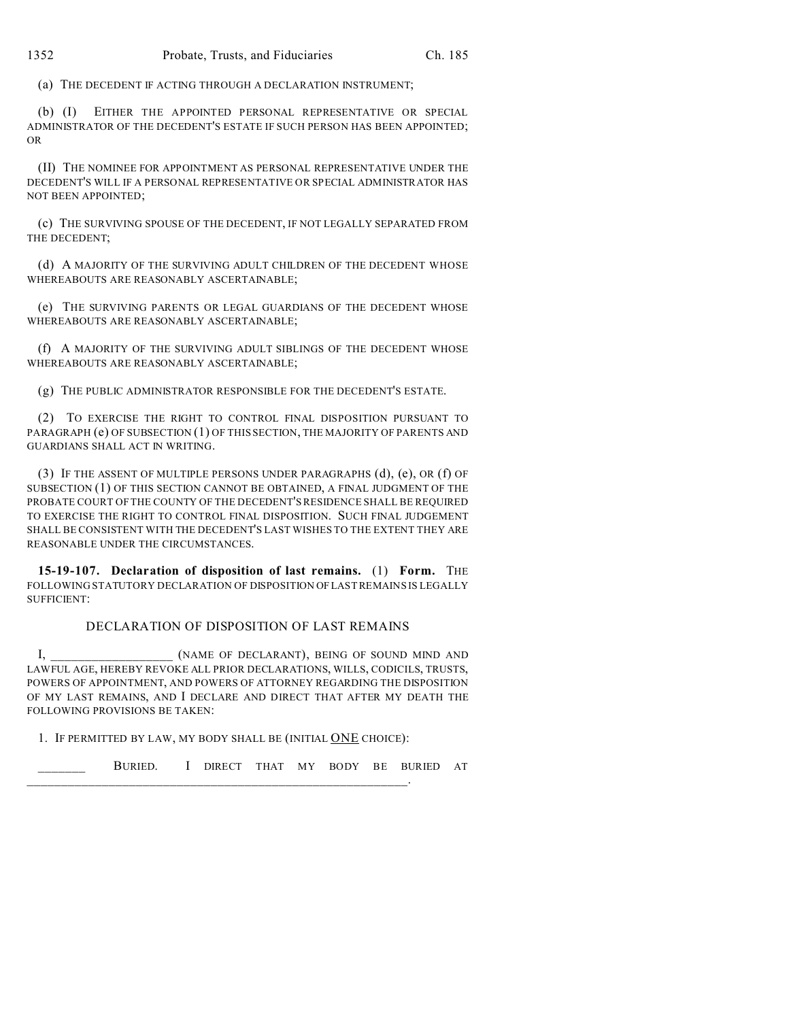(a) THE DECEDENT IF ACTING THROUGH A DECLARATION INSTRUMENT;

(b) (I) EITHER THE APPOINTED PERSONAL REPRESENTATIVE OR SPECIAL ADMINISTRATOR OF THE DECEDENT'S ESTATE IF SUCH PERSON HAS BEEN APPOINTED; OR

(II) THE NOMINEE FOR APPOINTMENT AS PERSONAL REPRESENTATIVE UNDER THE DECEDENT'S WILL IF A PERSONAL REPRESENTATIVE OR SPECIAL ADMINISTRATOR HAS NOT BEEN APPOINTED;

(c) THE SURVIVING SPOUSE OF THE DECEDENT, IF NOT LEGALLY SEPARATED FROM THE DECEDENT;

(d) A MAJORITY OF THE SURVIVING ADULT CHILDREN OF THE DECEDENT WHOSE WHEREABOUTS ARE REASONABLY ASCERTAINABLE;

(e) THE SURVIVING PARENTS OR LEGAL GUARDIANS OF THE DECEDENT WHOSE WHEREABOUTS ARE REASONABLY ASCERTAINABLE;

(f) A MAJORITY OF THE SURVIVING ADULT SIBLINGS OF THE DECEDENT WHOSE WHEREABOUTS ARE REASONABLY ASCERTAINABLE;

(g) THE PUBLIC ADMINISTRATOR RESPONSIBLE FOR THE DECEDENT'S ESTATE.

(2) TO EXERCISE THE RIGHT TO CONTROL FINAL DISPOSITION PURSUANT TO PARAGRAPH (e) OF SUBSECTION (1) OF THIS SECTION, THE MAJORITY OF PARENTS AND GUARDIANS SHALL ACT IN WRITING.

(3) IF THE ASSENT OF MULTIPLE PERSONS UNDER PARAGRAPHS (d), (e), OR (f) OF SUBSECTION (1) OF THIS SECTION CANNOT BE OBTAINED, A FINAL JUDGMENT OF THE PROBATE COURT OF THE COUNTY OF THE DECEDENT'S RESIDENCE SHALL BE REQUIRED TO EXERCISE THE RIGHT TO CONTROL FINAL DISPOSITION. SUCH FINAL JUDGEMENT SHALL BE CONSISTENT WITH THE DECEDENT'S LAST WISHES TO THE EXTENT THEY ARE REASONABLE UNDER THE CIRCUMSTANCES.

**15-19-107. Declaration of disposition of last remains.** (1) **Form.** THE FOLLOWING STATUTORY DECLARATION OF DISPOSITION OF LAST REMAINS IS LEGALLY SUFFICIENT:

## DECLARATION OF DISPOSITION OF LAST REMAINS

I, SEING OF DECLARANT), BEING OF SOUND MIND AND LAWFUL AGE, HEREBY REVOKE ALL PRIOR DECLARATIONS, WILLS, CODICILS, TRUSTS, POWERS OF APPOINTMENT, AND POWERS OF ATTORNEY REGARDING THE DISPOSITION OF MY LAST REMAINS, AND I DECLARE AND DIRECT THAT AFTER MY DEATH THE FOLLOWING PROVISIONS BE TAKEN:

1. IF PERMITTED BY LAW, MY BODY SHALL BE (INITIAL ONE CHOICE):

\_\_\_\_\_\_\_\_\_\_\_\_\_\_\_\_\_\_\_\_\_\_\_\_\_\_\_\_\_\_\_\_\_\_\_\_\_\_\_\_\_\_\_\_\_\_\_\_\_\_\_\_\_\_\_\_.

BURIED. I DIRECT THAT MY BODY BE BURIED AT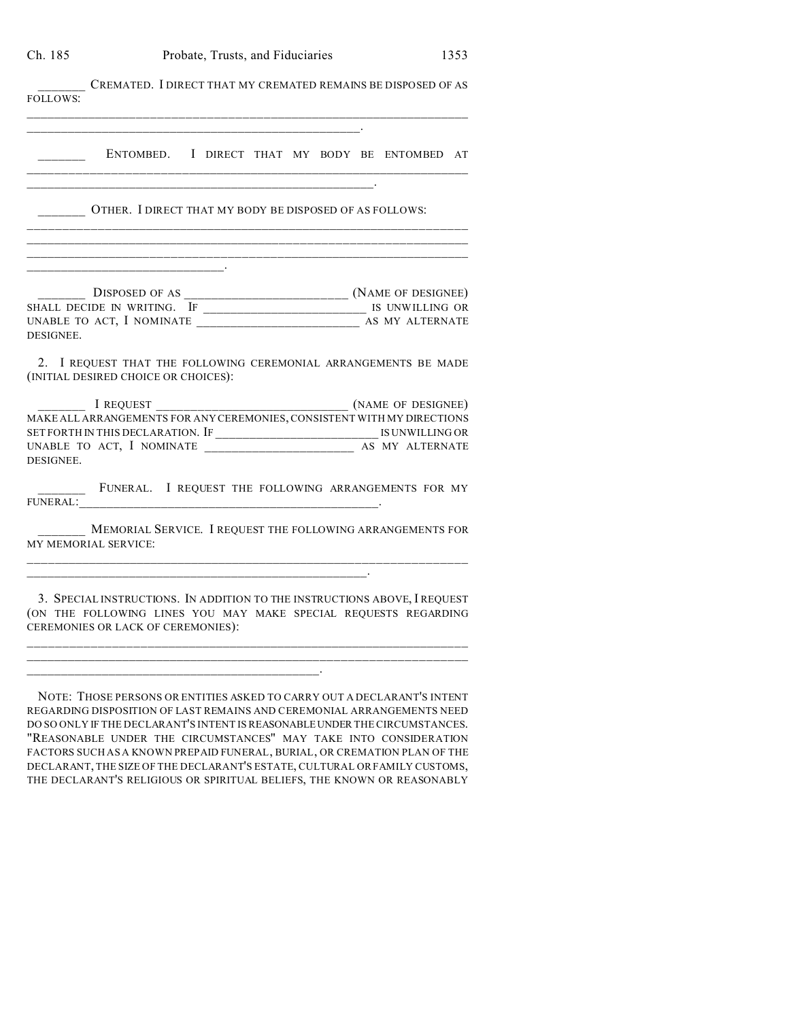CREMATED. I DIRECT THAT MY CREMATED REMAINS BE DISPOSED OF AS FOLLOWS:  $\_$  , and the set of the set of the set of the set of the set of the set of the set of the set of the set of the set of the set of the set of the set of the set of the set of the set of the set of the set of the set of th \_\_\_\_\_\_\_\_\_\_\_\_\_\_\_\_\_\_\_\_\_\_\_\_\_\_\_\_\_\_\_\_\_\_\_\_\_\_\_\_\_\_\_\_\_\_\_\_\_. \_\_\_\_\_\_\_ ENTOMBED. I DIRECT THAT MY BODY BE ENTOMBED AT

\_\_\_\_\_\_\_\_\_\_\_\_\_\_\_\_\_\_\_\_\_\_\_\_\_\_\_\_\_\_\_\_\_\_\_\_\_\_\_\_\_\_\_\_\_\_\_\_\_\_\_\_\_\_\_\_\_\_\_\_\_\_\_\_

\_\_\_\_\_\_\_\_\_\_\_\_\_\_\_\_\_\_\_\_\_\_\_\_\_\_\_\_\_\_\_\_\_\_\_\_\_\_\_\_\_\_\_\_\_\_\_\_\_\_\_\_\_\_\_\_\_\_\_\_\_\_\_\_ \_\_\_\_\_\_\_\_\_\_\_\_\_\_\_\_\_\_\_\_\_\_\_\_\_\_\_\_\_\_\_\_\_\_\_\_\_\_\_\_\_\_\_\_\_\_\_\_\_\_\_\_\_\_\_\_\_\_\_\_\_\_\_\_  $\_$  , and the set of the set of the set of the set of the set of the set of the set of the set of the set of the set of the set of the set of the set of the set of the set of the set of the set of the set of the set of th

 $\mathcal{L}_\text{max} = \mathcal{L}_\text{max} = \mathcal{L}_\text{max} = \mathcal{L}_\text{max} = \mathcal{L}_\text{max} = \mathcal{L}_\text{max} = \mathcal{L}_\text{max} = \mathcal{L}_\text{max} = \mathcal{L}_\text{max} = \mathcal{L}_\text{max} = \mathcal{L}_\text{max} = \mathcal{L}_\text{max} = \mathcal{L}_\text{max} = \mathcal{L}_\text{max} = \mathcal{L}_\text{max} = \mathcal{L}_\text{max} = \mathcal{L}_\text{max} = \mathcal{L}_\text{max} = \mathcal{$ 

 $\mathcal{L}=\{1,2,3,4,5\}$ 

\_\_\_\_\_\_\_ OTHER. I DIRECT THAT MY BODY BE DISPOSED OF AS FOLLOWS:

\_\_\_\_\_\_\_ DISPOSED OF AS \_\_\_\_\_\_\_\_\_\_\_\_\_\_\_\_\_\_\_\_\_\_\_\_ (NAME OF DESIGNEE) SHALL DECIDE IN WRITING. IF \_\_\_\_\_\_\_\_\_\_\_\_\_\_\_\_\_\_\_\_\_\_\_\_\_\_\_\_\_\_\_\_\_\_ IS UNWILLING OR UNABLE TO ACT, I NOMINATE \_\_\_\_\_\_\_\_\_\_\_\_\_\_\_\_\_\_\_\_\_\_\_\_ AS MY ALTERNATE DESIGNEE.

2. I REQUEST THAT THE FOLLOWING CEREMONIAL ARRANGEMENTS BE MADE (INITIAL DESIRED CHOICE OR CHOICES):

I REQUEST  $(NAME OF DESIGNEE)$ MAKE ALL ARRANGEMENTS FOR ANY CEREMONIES, CONSISTENT WITH MY DIRECTIONS SET FORTH IN THIS DECLARATION. IF \_\_\_\_\_\_\_\_\_\_\_\_\_\_\_\_\_\_\_\_\_\_\_\_ IS UNWILLING OR UNABLE TO ACT, I NOMINATE \_\_\_\_\_\_\_\_\_\_\_\_\_\_\_\_\_\_\_\_\_\_ AS MY ALTERNATE DESIGNEE.

FUNERAL. I REQUEST THE FOLLOWING ARRANGEMENTS FOR MY FUNERAL:\_\_\_\_\_\_\_\_\_\_\_\_\_\_\_\_\_\_\_\_\_\_\_\_\_\_\_\_\_\_\_\_\_\_\_\_\_\_\_\_\_\_\_\_.

MEMORIAL SERVICE. I REQUEST THE FOLLOWING ARRANGEMENTS FOR MY MEMORIAL SERVICE: \_\_\_\_\_\_\_\_\_\_\_\_\_\_\_\_\_\_\_\_\_\_\_\_\_\_\_\_\_\_\_\_\_\_\_\_\_\_\_\_\_\_\_\_\_\_\_\_\_\_\_\_\_\_\_\_\_\_\_\_\_\_\_\_

\_\_\_\_\_\_\_\_\_\_\_\_\_\_\_\_\_\_\_\_\_\_\_\_\_\_\_\_\_\_\_\_\_\_\_\_\_\_\_\_\_\_\_\_\_\_\_\_\_\_.

 $\mathcal{L}_\mathcal{L} = \mathcal{L}_\mathcal{L} = \mathcal{L}_\mathcal{L} = \mathcal{L}_\mathcal{L} = \mathcal{L}_\mathcal{L} = \mathcal{L}_\mathcal{L} = \mathcal{L}_\mathcal{L} = \mathcal{L}_\mathcal{L} = \mathcal{L}_\mathcal{L} = \mathcal{L}_\mathcal{L} = \mathcal{L}_\mathcal{L} = \mathcal{L}_\mathcal{L} = \mathcal{L}_\mathcal{L} = \mathcal{L}_\mathcal{L} = \mathcal{L}_\mathcal{L} = \mathcal{L}_\mathcal{L} = \mathcal{L}_\mathcal{L}$ 

3. SPECIAL INSTRUCTIONS. IN ADDITION TO THE INSTRUCTIONS ABOVE, I REQUEST (ON THE FOLLOWING LINES YOU MAY MAKE SPECIAL REQUESTS REGARDING CEREMONIES OR LACK OF CEREMONIES):

\_\_\_\_\_\_\_\_\_\_\_\_\_\_\_\_\_\_\_\_\_\_\_\_\_\_\_\_\_\_\_\_\_\_\_\_\_\_\_\_\_\_\_\_\_\_\_\_\_\_\_\_\_\_\_\_\_\_\_\_\_\_\_\_ \_\_\_\_\_\_\_\_\_\_\_\_\_\_\_\_\_\_\_\_\_\_\_\_\_\_\_\_\_\_\_\_\_\_\_\_\_\_\_\_\_\_\_\_\_\_\_\_\_\_\_\_\_\_\_\_\_\_\_\_\_\_\_\_

NOTE: THOSE PERSONS OR ENTITIES ASKED TO CARRY OUT A DECLARANT'S INTENT REGARDING DISPOSITION OF LAST REMAINS AND CEREMONIAL ARRANGEMENTS NEED DO SO ONLY IF THE DECLARANT'S INTENT IS REASONABLEUNDER THE CIRCUMSTANCES. "REASONABLE UNDER THE CIRCUMSTANCES" MAY TAKE INTO CONSIDERATION FACTORS SUCH AS A KNOWN PREPAID FUNERAL, BURIAL, OR CREMATION PLAN OF THE DECLARANT, THE SIZE OF THE DECLARANT'S ESTATE, CULTURAL OR FAMILY CUSTOMS, THE DECLARANT'S RELIGIOUS OR SPIRITUAL BELIEFS, THE KNOWN OR REASONABLY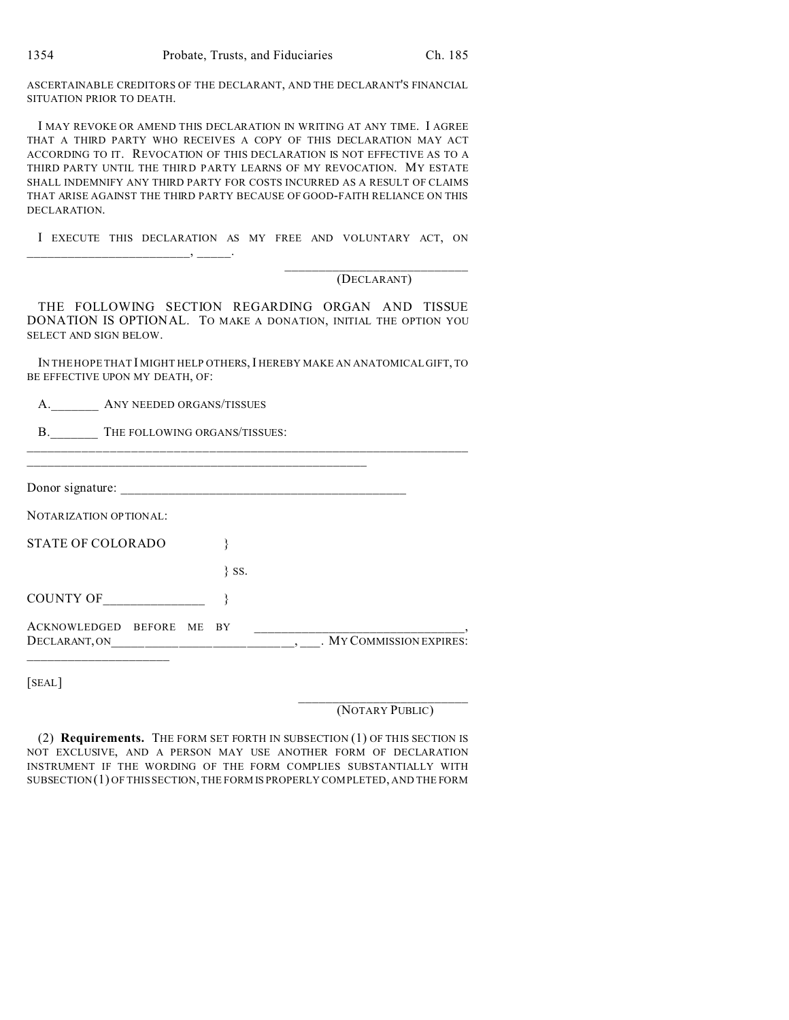ASCERTAINABLE CREDITORS OF THE DECLARANT, AND THE DECLARANT'S FINANCIAL SITUATION PRIOR TO DEATH.

I MAY REVOKE OR AMEND THIS DECLARATION IN WRITING AT ANY TIME. I AGREE THAT A THIRD PARTY WHO RECEIVES A COPY OF THIS DECLARATION MAY ACT ACCORDING TO IT. REVOCATION OF THIS DECLARATION IS NOT EFFECTIVE AS TO A THIRD PARTY UNTIL THE THIRD PARTY LEARNS OF MY REVOCATION. MY ESTATE SHALL INDEMNIFY ANY THIRD PARTY FOR COSTS INCURRED AS A RESULT OF CLAIMS THAT ARISE AGAINST THE THIRD PARTY BECAUSE OF GOOD-FAITH RELIANCE ON THIS DECLARATION.

I EXECUTE THIS DECLARATION AS MY FREE AND VOLUNTARY ACT, ON

 $\overline{\phantom{a}}$  ,  $\overline{\phantom{a}}$  ,  $\overline{\phantom{a}}$  ,  $\overline{\phantom{a}}$  ,  $\overline{\phantom{a}}$  ,  $\overline{\phantom{a}}$  ,  $\overline{\phantom{a}}$  ,  $\overline{\phantom{a}}$  ,  $\overline{\phantom{a}}$  ,  $\overline{\phantom{a}}$  ,  $\overline{\phantom{a}}$  ,  $\overline{\phantom{a}}$  ,  $\overline{\phantom{a}}$  ,  $\overline{\phantom{a}}$  ,  $\overline{\phantom{a}}$  ,  $\overline{\phantom{a}}$ 

 $A$   $\Delta$ NV NEEDED ORGANS/TISSUES

#### \_\_\_\_\_\_\_\_\_\_\_\_\_\_\_\_\_\_\_\_\_\_\_\_\_\_\_ (DECLARANT)

THE FOLLOWING SECTION REGARDING ORGAN AND TISSUE DONATION IS OPTIONAL. TO MAKE A DONATION, INITIAL THE OPTION YOU SELECT AND SIGN BELOW.

IN THE HOPE THAT I MIGHT HELP OTHERS, I HEREBY MAKE AN ANATOMICAL GIFT, TO BE EFFECTIVE UPON MY DEATH, OF:

| $\mathbf{I}$ | THAT NEEDED ORGANS TISSUES       |          |                          |
|--------------|----------------------------------|----------|--------------------------|
|              | B. THE FOLLOWING ORGANS/TISSUES: |          |                          |
|              |                                  |          |                          |
|              |                                  |          |                          |
|              | NOTARIZATION OPTIONAL:           |          |                          |
|              | <b>STATE OF COLORADO</b>         |          |                          |
|              |                                  | $\}$ SS. |                          |
|              | COUNTY OF                        |          |                          |
|              | ACKNOWLEDGED BEFORE ME BY        |          | . MY COMMISSION EXPIRES: |
|              |                                  |          |                          |

[SEAL]

\_\_\_\_\_\_\_\_\_\_\_\_\_\_\_\_\_\_\_\_\_\_\_\_\_ (NOTARY PUBLIC)

(2) **Requirements.** THE FORM SET FORTH IN SUBSECTION (1) OF THIS SECTION IS NOT EXCLUSIVE, AND A PERSON MAY USE ANOTHER FORM OF DECLARATION INSTRUMENT IF THE WORDING OF THE FORM COMPLIES SUBSTANTIALLY WITH SUBSECTION(1) OF THIS SECTION, THE FORM IS PROPERLY COMPLETED, AND THE FORM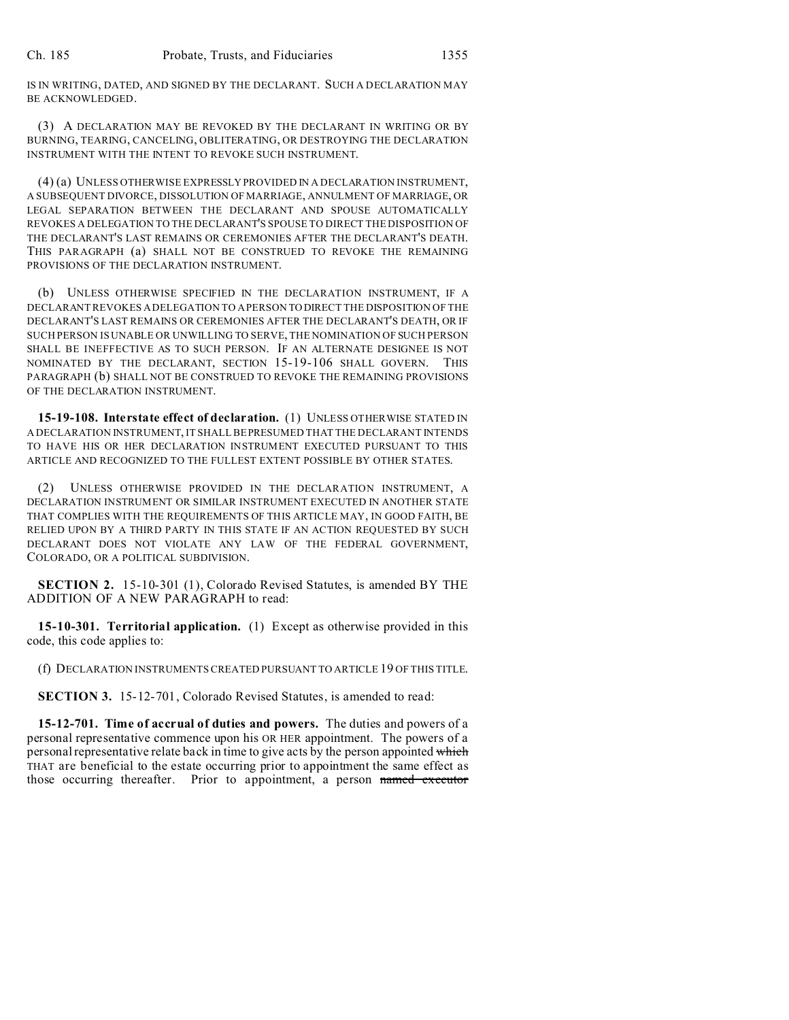IS IN WRITING, DATED, AND SIGNED BY THE DECLARANT. SUCH A DECLARATION MAY BE ACKNOWLEDGED.

(3) A DECLARATION MAY BE REVOKED BY THE DECLARANT IN WRITING OR BY BURNING, TEARING, CANCELING, OBLITERATING, OR DESTROYING THE DECLARATION INSTRUMENT WITH THE INTENT TO REVOKE SUCH INSTRUMENT.

(4) (a) UNLESS OTHERWISE EXPRESSLYPROVIDED IN A DECLARATION INSTRUMENT, A SUBSEQUENT DIVORCE, DISSOLUTION OF MARRIAGE, ANNULMENT OF MARRIAGE, OR LEGAL SEPARATION BETWEEN THE DECLARANT AND SPOUSE AUTOMATICALLY REVOKES A DELEGATION TO THE DECLARANT'S SPOUSE TO DIRECT THE DISPOSITION OF THE DECLARANT'S LAST REMAINS OR CEREMONIES AFTER THE DECLARANT'S DEATH. THIS PARAGRAPH (a) SHALL NOT BE CONSTRUED TO REVOKE THE REMAINING PROVISIONS OF THE DECLARATION INSTRUMENT.

(b) UNLESS OTHERWISE SPECIFIED IN THE DECLARATION INSTRUMENT, IF A DECLARANT REVOKES A DELEGATION TO A PERSON TO DIRECT THE DISPOSITION OF THE DECLARANT'S LAST REMAINS OR CEREMONIES AFTER THE DECLARANT'S DEATH, OR IF SUCH PERSON IS UNABLE OR UNWILLING TO SERVE, THE NOMINATION OF SUCH PERSON SHALL BE INEFFECTIVE AS TO SUCH PERSON. IF AN ALTERNATE DESIGNEE IS NOT NOMINATED BY THE DECLARANT, SECTION 15-19-106 SHALL GOVERN. THIS PARAGRAPH (b) SHALL NOT BE CONSTRUED TO REVOKE THE REMAINING PROVISIONS OF THE DECLARATION INSTRUMENT.

**15-19-108. Interstate effect of declaration.** (1) UNLESS OTHERWISE STATED IN A DECLARATION INSTRUMENT, IT SHALL BE PRESUMED THAT THE DECLARANT INTENDS TO HAVE HIS OR HER DECLARATION INSTRUMENT EXECUTED PURSUANT TO THIS ARTICLE AND RECOGNIZED TO THE FULLEST EXTENT POSSIBLE BY OTHER STATES.

(2) UNLESS OTHERWISE PROVIDED IN THE DECLARATION INSTRUMENT, A DECLARATION INSTRUMENT OR SIMILAR INSTRUMENT EXECUTED IN ANOTHER STATE THAT COMPLIES WITH THE REQUIREMENTS OF THIS ARTICLE MAY, IN GOOD FAITH, BE RELIED UPON BY A THIRD PARTY IN THIS STATE IF AN ACTION REQUESTED BY SUCH DECLARANT DOES NOT VIOLATE ANY LAW OF THE FEDERAL GOVERNMENT, COLORADO, OR A POLITICAL SUBDIVISION.

**SECTION 2.** 15-10-301 (1), Colorado Revised Statutes, is amended BY THE ADDITION OF A NEW PARAGRAPH to read:

**15-10-301. Territorial application.** (1) Except as otherwise provided in this code, this code applies to:

(f) DECLARATION INSTRUMENTS CREATED PURSUANT TO ARTICLE 19 OF THIS TITLE.

**SECTION 3.** 15-12-701, Colorado Revised Statutes, is amended to read:

**15-12-701. Time of accrual of duties and powers.** The duties and powers of a personal representative commence upon his OR HER appointment. The powers of a personal representative relate back in time to give acts by the person appointed which THAT are beneficial to the estate occurring prior to appointment the same effect as those occurring thereafter. Prior to appointment, a person named executor